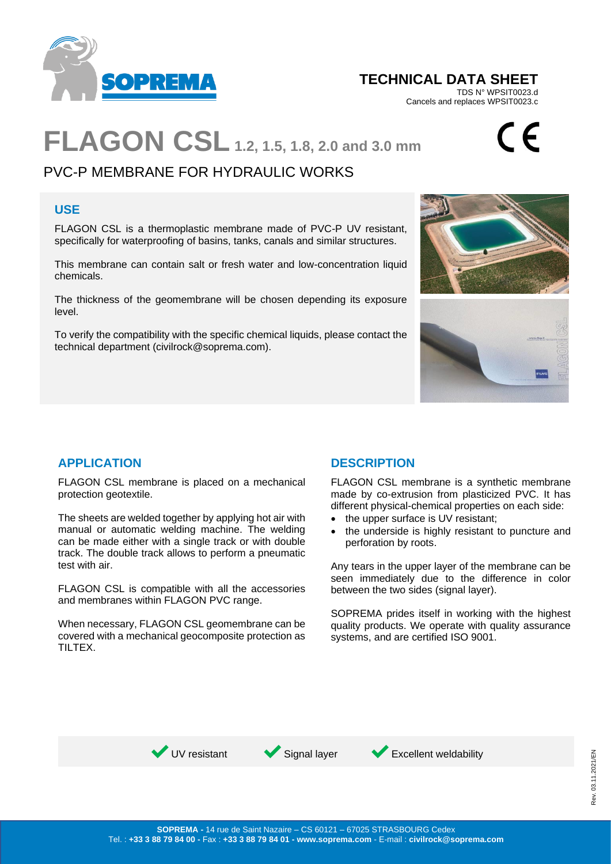

# **TECHNICAL DATA SHEET**

TDS N° WPSIT0023.d Cancels and replaces WPSIT0023.c

# **FLAGON CSL1.2, 1.5, 1.8, 2.0 and 3.0 mm**

# PVC-P MEMBRANE FOR HYDRAULIC WORKS

#### **USE**

FLAGON CSL is a thermoplastic membrane made of PVC-P UV resistant, specifically for waterproofing of basins, tanks, canals and similar structures.

This membrane can contain salt or fresh water and low-concentration liquid chemicals.

The thickness of the geomembrane will be chosen depending its exposure level.

To verify the compatibility with the specific chemical liquids, please contact the technical department (civilrock@soprema.com).



# **APPLICATION**

FLAGON CSL membrane is placed on a mechanical protection geotextile.

The sheets are welded together by applying hot air with manual or automatic welding machine. The welding can be made either with a single track or with double track. The double track allows to perform a pneumatic test with air.

FLAGON CSL is compatible with all the accessories and membranes within FLAGON PVC range.

When necessary, FLAGON CSL geomembrane can be covered with a mechanical geocomposite protection as TILTEX.

# **DESCRIPTION**

FLAGON CSL membrane is a synthetic membrane made by co-extrusion from plasticized PVC. It has different physical-chemical properties on each side:

- the upper surface is UV resistant;
- the underside is highly resistant to puncture and perforation by roots.

Any tears in the upper layer of the membrane can be seen immediately due to the difference in color between the two sides (signal layer).

SOPREMA prides itself in working with the highest quality products. We operate with quality assurance systems, and are certified ISO 9001.